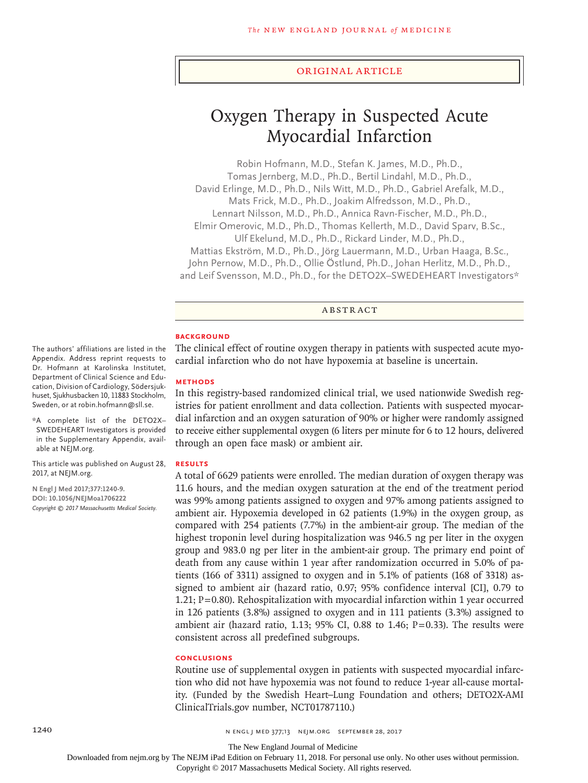#### Original Article

# Oxygen Therapy in Suspected Acute Myocardial Infarction

Robin Hofmann, M.D., Stefan K. James, M.D., Ph.D., Tomas Jernberg, M.D., Ph.D., Bertil Lindahl, M.D., Ph.D., David Erlinge, M.D., Ph.D., Nils Witt, M.D., Ph.D., Gabriel Arefalk, M.D., Mats Frick, M.D., Ph.D., Joakim Alfredsson, M.D., Ph.D., Lennart Nilsson, M.D., Ph.D., Annica Ravn-Fischer, M.D., Ph.D., Elmir Omerovic, M.D., Ph.D., Thomas Kellerth, M.D., David Sparv, B.Sc., Ulf Ekelund, M.D., Ph.D., Rickard Linder, M.D., Ph.D., Mattias Ekström, M.D., Ph.D., Jörg Lauermann, M.D., Urban Haaga, B.Sc., John Pernow, M.D., Ph.D., Ollie Östlund, Ph.D., Johan Herlitz, M.D., Ph.D., and Leif Svensson, M.D., Ph.D., for the DETO2X–SWEDEHEART Investigators\*

ABSTRACT

# **BACKGROUND**

The clinical effect of routine oxygen therapy in patients with suspected acute myocardial infarction who do not have hypoxemia at baseline is uncertain.

## **METHODS**

In this registry-based randomized clinical trial, we used nationwide Swedish registries for patient enrollment and data collection. Patients with suspected myocardial infarction and an oxygen saturation of 90% or higher were randomly assigned to receive either supplemental oxygen (6 liters per minute for 6 to 12 hours, delivered through an open face mask) or ambient air.

#### **RESULTS**

A total of 6629 patients were enrolled. The median duration of oxygen therapy was 11.6 hours, and the median oxygen saturation at the end of the treatment period was 99% among patients assigned to oxygen and 97% among patients assigned to ambient air. Hypoxemia developed in 62 patients (1.9%) in the oxygen group, as compared with 254 patients (7.7%) in the ambient-air group. The median of the highest troponin level during hospitalization was 946.5 ng per liter in the oxygen group and 983.0 ng per liter in the ambient-air group. The primary end point of death from any cause within 1 year after randomization occurred in 5.0% of patients (166 of 3311) assigned to oxygen and in 5.1% of patients (168 of 3318) assigned to ambient air (hazard ratio, 0.97; 95% confidence interval [CI], 0.79 to 1.21; P=0.80). Rehospitalization with myocardial infarction within 1 year occurred in 126 patients (3.8%) assigned to oxygen and in 111 patients (3.3%) assigned to ambient air (hazard ratio, 1.13; 95% CI, 0.88 to 1.46;  $P=0.33$ ). The results were consistent across all predefined subgroups.

# **CONCLUSIONS**

Routine use of supplemental oxygen in patients with suspected myocardial infarction who did not have hypoxemia was not found to reduce 1-year all-cause mortality. (Funded by the Swedish Heart–Lung Foundation and others; DETO2X-AMI ClinicalTrials.gov number, NCT01787110.)

The authors' affiliations are listed in the Appendix. Address reprint requests to Dr. Hofmann at Karolinska Institutet, Department of Clinical Science and Education, Division of Cardiology, Södersjukhuset, Sjukhusbacken 10, 11883 Stockholm, Sweden, or at robin.hofmann@sll.se.

\*A complete list of the DETO2X– SWEDEHEART Investigators is provided in the Supplementary Appendix, available at NEJM.org.

This article was published on August 28, 2017, at NEJM.org.

**N Engl J Med 2017;377:1240-9. DOI: 10.1056/NEJMoa1706222** *Copyright © 2017 Massachusetts Medical Society.*

Downloaded from nejm.org by The NEJM iPad Edition on February 11, 2018. For personal use only. No other uses without permission.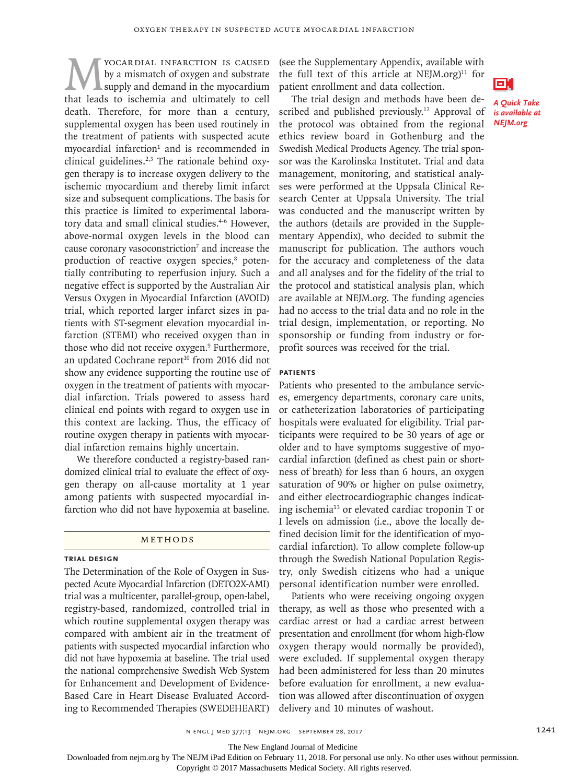**MEX YOCARDIAL INFARCTION IS CAUSED**<br>by a mismatch of oxygen and substrate<br>that leads to ischemia and ultimately to cell by a mismatch of oxygen and substrate supply and demand in the myocardium death. Therefore, for more than a century, supplemental oxygen has been used routinely in the treatment of patients with suspected acute  $myocardial$  infarction<sup>1</sup> and is recommended in clinical guidelines.2,3 The rationale behind oxygen therapy is to increase oxygen delivery to the ischemic myocardium and thereby limit infarct size and subsequent complications. The basis for this practice is limited to experimental laboratory data and small clinical studies.<sup>4-6</sup> However, above-normal oxygen levels in the blood can cause coronary vasoconstriction<sup>7</sup> and increase the production of reactive oxygen species,<sup>8</sup> potentially contributing to reperfusion injury. Such a negative effect is supported by the Australian Air Versus Oxygen in Myocardial Infarction (AVOID) trial, which reported larger infarct sizes in patients with ST-segment elevation myocardial infarction (STEMI) who received oxygen than in those who did not receive oxygen.<sup>9</sup> Furthermore, an updated Cochrane report<sup>10</sup> from 2016 did not show any evidence supporting the routine use of oxygen in the treatment of patients with myocardial infarction. Trials powered to assess hard clinical end points with regard to oxygen use in this context are lacking. Thus, the efficacy of routine oxygen therapy in patients with myocardial infarction remains highly uncertain.

We therefore conducted a registry-based randomized clinical trial to evaluate the effect of oxygen therapy on all-cause mortality at 1 year among patients with suspected myocardial infarction who did not have hypoxemia at baseline.

# Methods

# **Trial Design**

The Determination of the Role of Oxygen in Suspected Acute Myocardial Infarction (DETO2X-AMI) trial was a multicenter, parallel-group, open-label, registry-based, randomized, controlled trial in which routine supplemental oxygen therapy was compared with ambient air in the treatment of patients with suspected myocardial infarction who did not have hypoxemia at baseline. The trial used the national comprehensive Swedish Web System for Enhancement and Development of Evidence-Based Care in Heart Disease Evaluated According to Recommended Therapies (SWEDEHEART)

(see the Supplementary Appendix, available with the full text of this article at  $NEJM.org$ <sup>11</sup> for patient enrollment and data collection.

The trial design and methods have been described and published previously.<sup>12</sup> Approval of the protocol was obtained from the regional ethics review board in Gothenburg and the Swedish Medical Products Agency. The trial sponsor was the Karolinska Institutet. Trial and data management, monitoring, and statistical analyses were performed at the Uppsala Clinical Research Center at Uppsala University. The trial was conducted and the manuscript written by the authors (details are provided in the Supplementary Appendix), who decided to submit the manuscript for publication. The authors vouch for the accuracy and completeness of the data and all analyses and for the fidelity of the trial to the protocol and statistical analysis plan, which are available at NEJM.org. The funding agencies had no access to the trial data and no role in the trial design, implementation, or reporting. No sponsorship or funding from industry or forprofit sources was received for the trial.

# **Patients**

Patients who presented to the ambulance services, emergency departments, coronary care units, or catheterization laboratories of participating hospitals were evaluated for eligibility. Trial participants were required to be 30 years of age or older and to have symptoms suggestive of myocardial infarction (defined as chest pain or shortness of breath) for less than 6 hours, an oxygen saturation of 90% or higher on pulse oximetry, and either electrocardiographic changes indicating ischemia<sup>13</sup> or elevated cardiac troponin  $T$  or I levels on admission (i.e., above the locally defined decision limit for the identification of myocardial infarction). To allow complete follow-up through the Swedish National Population Registry, only Swedish citizens who had a unique personal identification number were enrolled.

Patients who were receiving ongoing oxygen therapy, as well as those who presented with a cardiac arrest or had a cardiac arrest between presentation and enrollment (for whom high-flow oxygen therapy would normally be provided), were excluded. If supplemental oxygen therapy had been administered for less than 20 minutes before evaluation for enrollment, a new evaluation was allowed after discontinuation of oxygen delivery and 10 minutes of washout.





*A Quick Take is available at NEJM.org*

The New England Journal of Medicine

Downloaded from nejm.org by The NEJM iPad Edition on February 11, 2018. For personal use only. No other uses without permission.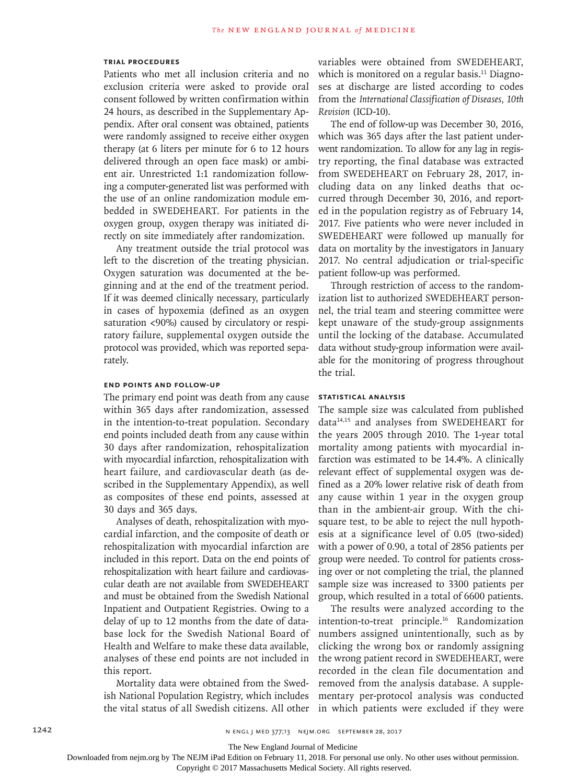# **Trial Procedures**

Patients who met all inclusion criteria and no exclusion criteria were asked to provide oral consent followed by written confirmation within 24 hours, as described in the Supplementary Appendix. After oral consent was obtained, patients were randomly assigned to receive either oxygen therapy (at 6 liters per minute for 6 to 12 hours delivered through an open face mask) or ambient air. Unrestricted 1:1 randomization following a computer-generated list was performed with the use of an online randomization module embedded in SWEDEHEART. For patients in the oxygen group, oxygen therapy was initiated directly on site immediately after randomization.

Any treatment outside the trial protocol was left to the discretion of the treating physician. Oxygen saturation was documented at the beginning and at the end of the treatment period. If it was deemed clinically necessary, particularly in cases of hypoxemia (defined as an oxygen saturation <90%) caused by circulatory or respiratory failure, supplemental oxygen outside the protocol was provided, which was reported separately.

# **End Points and Follow-up**

The primary end point was death from any cause within 365 days after randomization, assessed in the intention-to-treat population. Secondary end points included death from any cause within 30 days after randomization, rehospitalization with myocardial infarction, rehospitalization with heart failure, and cardiovascular death (as described in the Supplementary Appendix), as well as composites of these end points, assessed at 30 days and 365 days.

Analyses of death, rehospitalization with myocardial infarction, and the composite of death or rehospitalization with myocardial infarction are included in this report. Data on the end points of rehospitalization with heart failure and cardiovascular death are not available from SWEDEHEART and must be obtained from the Swedish National Inpatient and Outpatient Registries. Owing to a delay of up to 12 months from the date of database lock for the Swedish National Board of Health and Welfare to make these data available, analyses of these end points are not included in this report.

Mortality data were obtained from the Swedish National Population Registry, which includes the vital status of all Swedish citizens. All other variables were obtained from SWEDEHEART, which is monitored on a regular basis.<sup>11</sup> Diagnoses at discharge are listed according to codes from the *International Classification of Diseases, 10th Revision* (ICD-10).

The end of follow-up was December 30, 2016, which was 365 days after the last patient underwent randomization. To allow for any lag in registry reporting, the final database was extracted from SWEDEHEART on February 28, 2017, including data on any linked deaths that occurred through December 30, 2016, and reported in the population registry as of February 14, 2017. Five patients who were never included in SWEDEHEART were followed up manually for data on mortality by the investigators in January 2017. No central adjudication or trial-specific patient follow-up was performed.

Through restriction of access to the randomization list to authorized SWEDEHEART personnel, the trial team and steering committee were kept unaware of the study-group assignments until the locking of the database. Accumulated data without study-group information were available for the monitoring of progress throughout the trial.

# **Statistical Analysis**

The sample size was calculated from published data14,15 and analyses from SWEDEHEART for the years 2005 through 2010. The 1-year total mortality among patients with myocardial infarction was estimated to be 14.4%. A clinically relevant effect of supplemental oxygen was defined as a 20% lower relative risk of death from any cause within 1 year in the oxygen group than in the ambient-air group. With the chisquare test, to be able to reject the null hypothesis at a significance level of 0.05 (two-sided) with a power of 0.90, a total of 2856 patients per group were needed. To control for patients crossing over or not completing the trial, the planned sample size was increased to 3300 patients per group, which resulted in a total of 6600 patients.

The results were analyzed according to the intention-to-treat principle.16 Randomization numbers assigned unintentionally, such as by clicking the wrong box or randomly assigning the wrong patient record in SWEDEHEART, were recorded in the clean file documentation and removed from the analysis database. A supplementary per-protocol analysis was conducted in which patients were excluded if they were

The New England Journal of Medicine

Downloaded from nejm.org by The NEJM iPad Edition on February 11, 2018. For personal use only. No other uses without permission.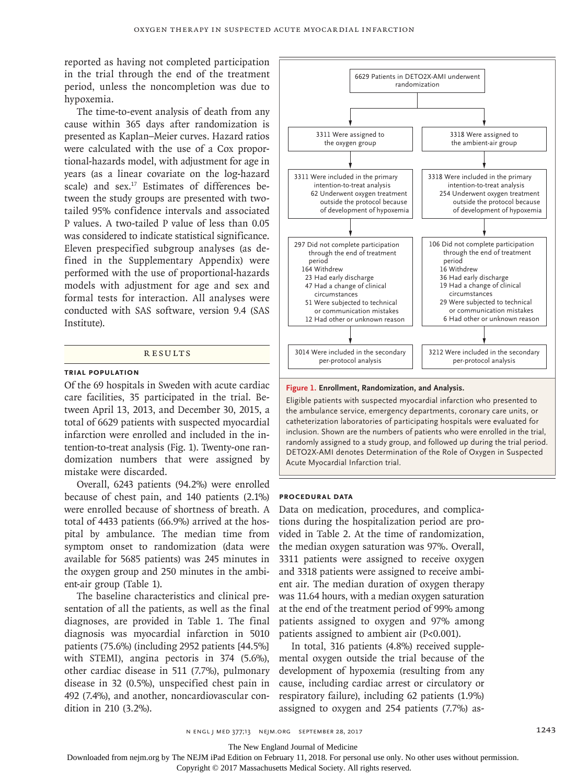reported as having not completed participation in the trial through the end of the treatment period, unless the noncompletion was due to hypoxemia.

The time-to-event analysis of death from any cause within 365 days after randomization is presented as Kaplan–Meier curves. Hazard ratios were calculated with the use of a Cox proportional-hazards model, with adjustment for age in years (as a linear covariate on the log-hazard scale) and sex.<sup>17</sup> Estimates of differences between the study groups are presented with twotailed 95% confidence intervals and associated P values. A two-tailed P value of less than 0.05 was considered to indicate statistical significance. Eleven prespecified subgroup analyses (as defined in the Supplementary Appendix) were performed with the use of proportional-hazards models with adjustment for age and sex and formal tests for interaction. All analyses were conducted with SAS software, version 9.4 (SAS Institute).

#### **RESULTS**

#### **Trial Population**

Of the 69 hospitals in Sweden with acute cardiac care facilities, 35 participated in the trial. Between April 13, 2013, and December 30, 2015, a total of 6629 patients with suspected myocardial infarction were enrolled and included in the intention-to-treat analysis (Fig. 1). Twenty-one randomization numbers that were assigned by mistake were discarded.

Overall, 6243 patients (94.2%) were enrolled because of chest pain, and 140 patients (2.1%) were enrolled because of shortness of breath. A total of 4433 patients (66.9%) arrived at the hospital by ambulance. The median time from symptom onset to randomization (data were available for 5685 patients) was 245 minutes in the oxygen group and 250 minutes in the ambient-air group (Table 1).

The baseline characteristics and clinical presentation of all the patients, as well as the final diagnoses, are provided in Table 1. The final diagnosis was myocardial infarction in 5010 patients (75.6%) (including 2952 patients [44.5%] with STEMI), angina pectoris in 374 (5.6%), other cardiac disease in 511 (7.7%), pulmonary disease in 32 (0.5%), unspecified chest pain in 492 (7.4%), and another, noncardiovascular condition in 210 (3.2%).



#### **Figure 1. Enrollment, Randomization, and Analysis.**

Eligible patients with suspected myocardial infarction who presented to the ambulance service, emergency departments, coronary care units, or catheterization laboratories of participating hospitals were evaluated for inclusion. Shown are the numbers of patients who were enrolled in the trial, randomly assigned to a study group, and followed up during the trial period. DETO2X-AMI denotes Determination of the Role of Oxygen in Suspected Acute Myocardial Infarction trial.

#### **Procedural Data**

Data on medication, procedures, and complications during the hospitalization period are provided in Table 2. At the time of randomization, the median oxygen saturation was 97%. Overall, 3311 patients were assigned to receive oxygen and 3318 patients were assigned to receive ambient air. The median duration of oxygen therapy was 11.64 hours, with a median oxygen saturation at the end of the treatment period of 99% among patients assigned to oxygen and 97% among patients assigned to ambient air (P<0.001).

In total, 316 patients (4.8%) received supplemental oxygen outside the trial because of the development of hypoxemia (resulting from any cause, including cardiac arrest or circulatory or respiratory failure), including 62 patients (1.9%) assigned to oxygen and 254 patients (7.7%) as-

n engl j med 377;13 nejm.org September 28, 2017 1243

The New England Journal of Medicine

Downloaded from nejm.org by The NEJM iPad Edition on February 11, 2018. For personal use only. No other uses without permission.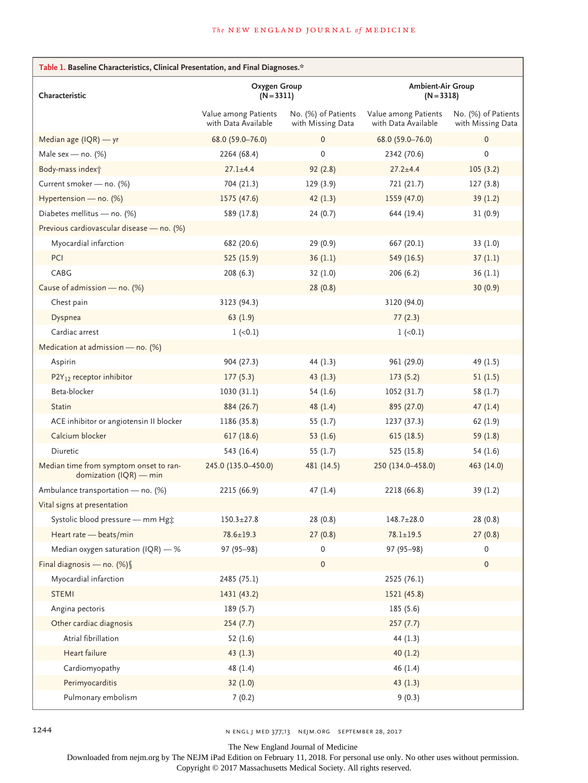| Table 1. Baseline Characteristics, Clinical Presentation, and Final Diagnoses.* |                                             |                                          |                                             |                                          |  |
|---------------------------------------------------------------------------------|---------------------------------------------|------------------------------------------|---------------------------------------------|------------------------------------------|--|
| Characteristic                                                                  | Oxygen Group<br>$(N=3311)$                  |                                          | <b>Ambient-Air Group</b><br>$(N = 3318)$    |                                          |  |
|                                                                                 | Value among Patients<br>with Data Available | No. (%) of Patients<br>with Missing Data | Value among Patients<br>with Data Available | No. (%) of Patients<br>with Missing Data |  |
| Median age $( IQR)$ - yr                                                        | 68.0 (59.0-76.0)                            | 0                                        | 68.0 (59.0-76.0)                            | $\mathbf 0$                              |  |
| Male sex - no. $(%)$                                                            | 2264 (68.4)                                 | 0                                        | 2342 (70.6)                                 | $\mathbf 0$                              |  |
| Body-mass index <sup>+</sup>                                                    | $27.1 \pm 4.4$                              | 92(2.8)                                  | $27.2 + 4.4$                                | 105(3.2)                                 |  |
| Current smoker - no. (%)                                                        | 704 (21.3)                                  | 129(3.9)                                 | 721 (21.7)                                  | 127(3.8)                                 |  |
| Hypertension - no. (%)                                                          | 1575(47.6)                                  | 42(1.3)                                  | 1559 (47.0)                                 | 39(1.2)                                  |  |
| Diabetes mellitus - no. (%)                                                     | 589 (17.8)                                  | 24(0.7)                                  | 644 (19.4)                                  | 31(0.9)                                  |  |
| Previous cardiovascular disease - no. (%)                                       |                                             |                                          |                                             |                                          |  |
| Myocardial infarction                                                           | 682 (20.6)                                  | 29 (0.9)                                 | 667 (20.1)                                  | 33(1.0)                                  |  |
| PCI                                                                             | 525 (15.9)                                  | 36(1.1)                                  | 549 (16.5)                                  | 37(1.1)                                  |  |
| CABG                                                                            | 208 (6.3)                                   | 32(1.0)                                  | 206(6.2)                                    | 36(1.1)                                  |  |
| Cause of admission - no. (%)                                                    |                                             | 28(0.8)                                  |                                             | 30(0.9)                                  |  |
| Chest pain                                                                      | 3123 (94.3)                                 |                                          | 3120 (94.0)                                 |                                          |  |
| Dyspnea                                                                         | 63(1.9)                                     |                                          | 77(2.3)                                     |                                          |  |
| Cardiac arrest                                                                  | $1 (-0.1)$                                  |                                          | $1 (-0.1)$                                  |                                          |  |
| Medication at admission - no. (%)                                               |                                             |                                          |                                             |                                          |  |
| Aspirin                                                                         | 904 (27.3)                                  | 44 $(1.3)$                               | 961 (29.0)                                  | 49 (1.5)                                 |  |
| P2Y <sub>12</sub> receptor inhibitor                                            | 177(5.3)                                    | 43(1.3)                                  | 173(5.2)                                    | 51(1.5)                                  |  |
| Beta-blocker                                                                    | 1030(31.1)                                  | 54(1.6)                                  | 1052 (31.7)                                 | 58 (1.7)                                 |  |
| <b>Statin</b>                                                                   | 884 (26.7)                                  | 48(1.4)                                  | 895 (27.0)                                  | 47(1.4)                                  |  |
| ACE inhibitor or angiotensin II blocker                                         | 1186 (35.8)                                 | 55(1.7)                                  | 1237 (37.3)                                 | 62 (1.9)                                 |  |
| Calcium blocker                                                                 | 617(18.6)                                   | 53(1.6)                                  | 615 (18.5)                                  | 59 $(1.8)$                               |  |
| Diuretic                                                                        | 543 (16.4)                                  | 55 $(1.7)$                               | 525 (15.8)                                  | 54(1.6)                                  |  |
| Median time from symptom onset to ran-<br>domization (IQR) - min                | 245.0 (135.0-450.0)                         | 481 (14.5)                               | 250 (134.0-458.0)                           | 463 (14.0)                               |  |
| Ambulance transportation - no. (%)                                              | 2215 (66.9)                                 | 47(1.4)                                  | 2218 (66.8)                                 | 39 (1.2)                                 |  |
| Vital signs at presentation                                                     |                                             |                                          |                                             |                                          |  |
| Systolic blood pressure - mm Hg*                                                | $150.3 + 27.8$                              | 28(0.8)                                  | $148.7 \pm 28.0$                            | 28(0.8)                                  |  |
| Heart rate - beats/min                                                          | $78.6 \pm 19.3$                             | 27(0.8)                                  | $78.1 \pm 19.5$                             | 27(0.8)                                  |  |
| Median oxygen saturation (IQR) $-$ %                                            | $97(95-98)$                                 | 0                                        | 97 (95-98)                                  | 0                                        |  |
| Final diagnosis - no. (%) §                                                     |                                             | 0                                        |                                             | $\mathbf 0$                              |  |
| Myocardial infarction                                                           | 2485 (75.1)                                 |                                          | 2525 (76.1)                                 |                                          |  |
| <b>STEMI</b>                                                                    | 1431 (43.2)                                 |                                          | 1521 (45.8)                                 |                                          |  |
| Angina pectoris                                                                 | 189(5.7)                                    |                                          | 185 (5.6)                                   |                                          |  |
| Other cardiac diagnosis                                                         | 254(7.7)                                    |                                          | 257(7.7)                                    |                                          |  |
| Atrial fibrillation                                                             | 52(1.6)                                     |                                          | 44 $(1.3)$                                  |                                          |  |
| Heart failure                                                                   | 43(1.3)                                     |                                          | 40(1.2)                                     |                                          |  |
| Cardiomyopathy                                                                  | 48(1.4)                                     |                                          | 46(1.4)                                     |                                          |  |
| Perimyocarditis                                                                 | 32(1.0)                                     |                                          | 43(1.3)                                     |                                          |  |
| Pulmonary embolism                                                              | 7(0.2)                                      |                                          | 9(0.3)                                      |                                          |  |

1244 **n engl j med 377;13** nejm.org September 28, 2017

The New England Journal of Medicine

Downloaded from nejm.org by The NEJM iPad Edition on February 11, 2018. For personal use only. No other uses without permission.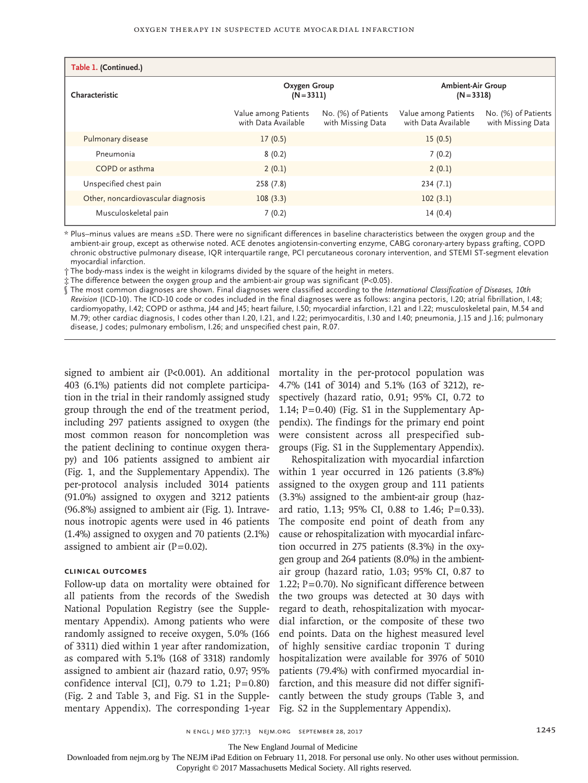| Table 1. (Continued.)              |                                             |                                          |                                             |                                          |
|------------------------------------|---------------------------------------------|------------------------------------------|---------------------------------------------|------------------------------------------|
| Characteristic                     | Oxygen Group<br>$(N = 3311)$                |                                          | <b>Ambient-Air Group</b><br>$(N = 3318)$    |                                          |
|                                    | Value among Patients<br>with Data Available | No. (%) of Patients<br>with Missing Data | Value among Patients<br>with Data Available | No. (%) of Patients<br>with Missing Data |
| Pulmonary disease                  | 17(0.5)                                     |                                          | 15(0.5)                                     |                                          |
| Pneumonia                          | 8(0.2)                                      |                                          | 7(0.2)                                      |                                          |
| COPD or asthma                     | 2(0.1)                                      |                                          | 2(0.1)                                      |                                          |
| Unspecified chest pain             | 258 (7.8)                                   |                                          | 234(7.1)                                    |                                          |
| Other, noncardiovascular diagnosis | 108(3.3)                                    |                                          | 102(3.1)                                    |                                          |
| Musculoskeletal pain               | 7(0.2)                                      |                                          | 14(0.4)                                     |                                          |

\* Plus–minus values are means ±SD. There were no significant differences in baseline characteristics between the oxygen group and the ambient-air group, except as otherwise noted. ACE denotes angiotensin-converting enzyme, CABG coronary-artery bypass grafting, COPD chronic obstructive pulmonary disease, IQR interquartile range, PCI percutaneous coronary intervention, and STEMI ST-segment elevation myocardial infarction.

† The body-mass index is the weight in kilograms divided by the square of the height in meters.

‡ The difference between the oxygen group and the ambient-air group was significant (P<0.05).

§ The most common diagnoses are shown. Final diagnoses were classified according to the *International Classification of Diseases, 10th Revision* (ICD-10). The ICD-10 code or codes included in the final diagnoses were as follows: angina pectoris, I.20; atrial fibrillation, I.48; cardiomyopathy, I.42; COPD or asthma, J44 and J45; heart failure, I.50; myocardial infarction, I.21 and I.22; musculoskeletal pain, M.54 and M.79; other cardiac diagnosis, I codes other than I.20, I.21, and I.22; perimyocarditis, I.30 and I.40; pneumonia, J.15 and J.16; pulmonary disease, J codes; pulmonary embolism, I.26; and unspecified chest pain, R.07.

403 (6.1%) patients did not complete participation in the trial in their randomly assigned study group through the end of the treatment period, including 297 patients assigned to oxygen (the most common reason for noncompletion was the patient declining to continue oxygen therapy) and 106 patients assigned to ambient air (Fig. 1, and the Supplementary Appendix). The per-protocol analysis included 3014 patients (91.0%) assigned to oxygen and 3212 patients (96.8%) assigned to ambient air (Fig. 1). Intravenous inotropic agents were used in 46 patients (1.4%) assigned to oxygen and 70 patients (2.1%) assigned to ambient air  $(P=0.02)$ .

# **Clinical Outcomes**

Follow-up data on mortality were obtained for all patients from the records of the Swedish National Population Registry (see the Supplementary Appendix). Among patients who were randomly assigned to receive oxygen, 5.0% (166 of 3311) died within 1 year after randomization, as compared with 5.1% (168 of 3318) randomly assigned to ambient air (hazard ratio, 0.97; 95% confidence interval [CI],  $0.79$  to  $1.21$ ;  $P=0.80$ ] (Fig. 2 and Table 3, and Fig. S1 in the Supplementary Appendix). The corresponding 1-year

signed to ambient air (P<0.001). An additional mortality in the per-protocol population was 4.7% (141 of 3014) and 5.1% (163 of 3212), respectively (hazard ratio, 0.91; 95% CI, 0.72 to 1.14; P=0.40) (Fig. S1 in the Supplementary Appendix). The findings for the primary end point were consistent across all prespecified subgroups (Fig. S1 in the Supplementary Appendix).

> Rehospitalization with myocardial infarction within 1 year occurred in 126 patients (3.8%) assigned to the oxygen group and 111 patients (3.3%) assigned to the ambient-air group (hazard ratio, 1.13; 95% CI, 0.88 to 1.46; P=0.33). The composite end point of death from any cause or rehospitalization with myocardial infarction occurred in 275 patients (8.3%) in the oxygen group and 264 patients (8.0%) in the ambientair group (hazard ratio, 1.03; 95% CI, 0.87 to 1.22; P=0.70). No significant difference between the two groups was detected at 30 days with regard to death, rehospitalization with myocardial infarction, or the composite of these two end points. Data on the highest measured level of highly sensitive cardiac troponin T during hospitalization were available for 3976 of 5010 patients (79.4%) with confirmed myocardial infarction, and this measure did not differ significantly between the study groups (Table 3, and Fig. S2 in the Supplementary Appendix).

n engl j med 377;13 nejm.org September 28, 2017 1245

The New England Journal of Medicine

Downloaded from nejm.org by The NEJM iPad Edition on February 11, 2018. For personal use only. No other uses without permission.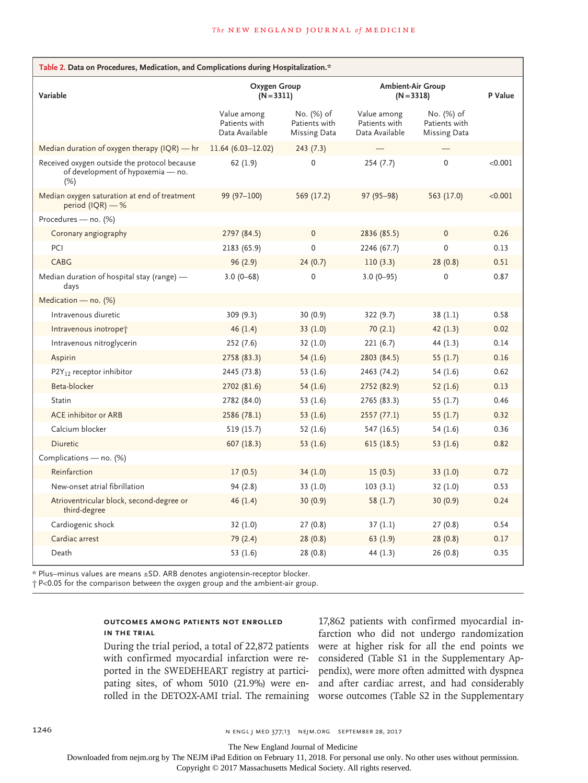| Table 2. Data on Procedures, Medication, and Complications during Hospitalization.*      |                                                |                                             |                                                |                                                    |         |
|------------------------------------------------------------------------------------------|------------------------------------------------|---------------------------------------------|------------------------------------------------|----------------------------------------------------|---------|
| Variable                                                                                 | Oxygen Group<br>$(N = 3311)$                   |                                             | <b>Ambient-Air Group</b><br>$(N = 3318)$       |                                                    | P Value |
|                                                                                          | Value among<br>Patients with<br>Data Available | No. (%) of<br>Patients with<br>Missing Data | Value among<br>Patients with<br>Data Available | No. (%) of<br>Patients with<br><b>Missing Data</b> |         |
| Median duration of oxygen therapy $(IQR)$ — hr                                           | $11.64(6.03-12.02)$                            | 243(7.3)                                    |                                                |                                                    |         |
| Received oxygen outside the protocol because<br>of development of hypoxemia - no.<br>(%) | 62(1.9)                                        | $\mathbf 0$                                 | 254(7.7)                                       | $\mathbf 0$                                        | < 0.001 |
| Median oxygen saturation at end of treatment<br>period (IQR) $-$ %                       | 99 (97-100)                                    | 569 (17.2)                                  | 97 (95-98)                                     | 563 (17.0)                                         | < 0.001 |
| Procedures - no. (%)                                                                     |                                                |                                             |                                                |                                                    |         |
| Coronary angiography                                                                     | 2797 (84.5)                                    | $\mathbf 0$                                 | 2836 (85.5)                                    | $\mathbf{0}$                                       | 0.26    |
| PCI                                                                                      | 2183 (65.9)                                    | $\mathbf 0$                                 | 2246 (67.7)                                    | $\mathbf 0$                                        | 0.13    |
| CABG                                                                                     | 96(2.9)                                        | 24(0.7)                                     | 110(3.3)                                       | 28(0.8)                                            | 0.51    |
| Median duration of hospital stay (range) -<br>days                                       | $3.0(0 - 68)$                                  | 0                                           | $3.0(0-95)$                                    | $\Omega$                                           | 0.87    |
| Medication - no. (%)                                                                     |                                                |                                             |                                                |                                                    |         |
| Intravenous diuretic                                                                     | 309 (9.3)                                      | 30 (0.9)                                    | 322 (9.7)                                      | 38(1.1)                                            | 0.58    |
| Intravenous inotropet                                                                    | 46(1.4)                                        | 33(1.0)                                     | 70(2.1)                                        | 42(1.3)                                            | 0.02    |
| Intravenous nitroglycerin                                                                | 252(7.6)                                       | 32(1.0)                                     | 221(6.7)                                       | 44 (1.3)                                           | 0.14    |
| Aspirin                                                                                  | 2758 (83.3)                                    | 54(1.6)                                     | 2803 (84.5)                                    | 55 $(1.7)$                                         | 0.16    |
| $P2Y_{12}$ receptor inhibitor                                                            | 2445 (73.8)                                    | 53 $(1.6)$                                  | 2463 (74.2)                                    | 54 (1.6)                                           | 0.62    |
| Beta-blocker                                                                             | 2702 (81.6)                                    | 54(1.6)                                     | 2752 (82.9)                                    | 52(1.6)                                            | 0.13    |
| <b>Statin</b>                                                                            | 2782 (84.0)                                    | 53 (1.6)                                    | 2765 (83.3)                                    | 55 $(1.7)$                                         | 0.46    |
| <b>ACE</b> inhibitor or ARB                                                              | 2586 (78.1)                                    | 53 $(1.6)$                                  | 2557(77.1)                                     | 55 $(1.7)$                                         | 0.32    |
| Calcium blocker                                                                          | 519 (15.7)                                     | 52(1.6)                                     | 547 (16.5)                                     | 54 (1.6)                                           | 0.36    |
| Diuretic                                                                                 | 607(18.3)                                      | 53 $(1.6)$                                  | 615(18.5)                                      | 53 $(1.6)$                                         | 0.82    |
| Complications - no. (%)                                                                  |                                                |                                             |                                                |                                                    |         |
| Reinfarction                                                                             | 17(0.5)                                        | 34(1.0)                                     | 15(0.5)                                        | 33(1.0)                                            | 0.72    |
| New-onset atrial fibrillation                                                            | 94 (2.8)                                       | 33(1.0)                                     | 103(3.1)                                       | 32(1.0)                                            | 0.53    |
| Atrioventricular block, second-degree or<br>third-degree                                 | 46(1.4)                                        | 30(0.9)                                     | 58 $(1.7)$                                     | 30(0.9)                                            | 0.24    |
| Cardiogenic shock                                                                        | 32(1.0)                                        | 27(0.8)                                     | 37(1.1)                                        | 27(0.8)                                            | 0.54    |
| Cardiac arrest                                                                           | 79 (2.4)                                       | 28(0.8)                                     | 63(1.9)                                        | 28(0.8)                                            | 0.17    |
| Death                                                                                    | 53 (1.6)                                       | 28 (0.8)                                    | 44 (1.3)                                       | 26(0.8)                                            | 0.35    |

\* Plus–minus values are means ±SD. ARB denotes angiotensin-receptor blocker.

† P<0.05 for the comparison between the oxygen group and the ambient-air group.

# **Outcomes among Patients Not Enrolled in the Trial**

During the trial period, a total of 22,872 patients with confirmed myocardial infarction were reported in the SWEDEHEART registry at participating sites, of whom 5010 (21.9%) were en-

rolled in the DETO2X-AMI trial. The remaining worse outcomes (Table S2 in the Supplementary 17,862 patients with confirmed myocardial infarction who did not undergo randomization were at higher risk for all the end points we considered (Table S1 in the Supplementary Appendix), were more often admitted with dyspnea and after cardiac arrest, and had considerably

1246 **n** engl j med 377;13 nejm.org September 28, 2017

The New England Journal of Medicine

Downloaded from nejm.org by The NEJM iPad Edition on February 11, 2018. For personal use only. No other uses without permission.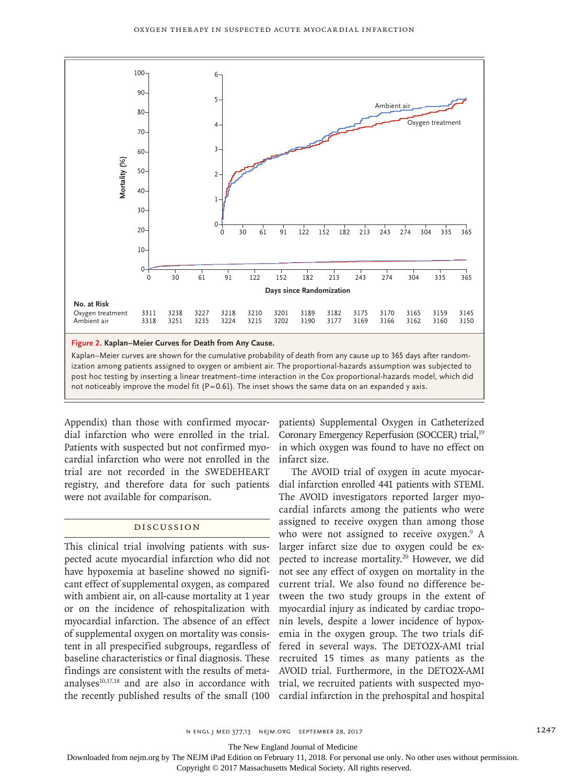

post hoc testing by inserting a linear treatment–time interaction in the Cox proportional-hazards model, which did

Appendix) than those with confirmed myocardial infarction who were enrolled in the trial. Patients with suspected but not confirmed myocardial infarction who were not enrolled in the trial are not recorded in the SWEDEHEART registry, and therefore data for such patients were not available for comparison.

# Discussion

This clinical trial involving patients with suspected acute myocardial infarction who did not have hypoxemia at baseline showed no significant effect of supplemental oxygen, as compared with ambient air, on all-cause mortality at 1 year or on the incidence of rehospitalization with myocardial infarction. The absence of an effect of supplemental oxygen on mortality was consistent in all prespecified subgroups, regardless of baseline characteristics or final diagnosis. These findings are consistent with the results of meta-AVOID trial. Furthermore, in the DETO2X-AMI analyses<sup>10,17,18</sup> and are also in accordance with trial, we recruited patients with suspected myothe recently published results of the small (100 cardial infarction in the prehospital and hospital

patients) Supplemental Oxygen in Catheterized Coronary Emergency Reperfusion (SOCCER) trial,19 in which oxygen was found to have no effect on infarct size.

The AVOID trial of oxygen in acute myocardial infarction enrolled 441 patients with STEMI. The AVOID investigators reported larger myocardial infarcts among the patients who were assigned to receive oxygen than among those who were not assigned to receive oxygen.<sup>9</sup> A larger infarct size due to oxygen could be expected to increase mortality.<sup>20</sup> However, we did not see any effect of oxygen on mortality in the current trial. We also found no difference between the two study groups in the extent of myocardial injury as indicated by cardiac troponin levels, despite a lower incidence of hypoxemia in the oxygen group. The two trials differed in several ways. The DETO2X-AMI trial recruited 15 times as many patients as the

The New England Journal of Medicine

Downloaded from nejm.org by The NEJM iPad Edition on February 11, 2018. For personal use only. No other uses without permission.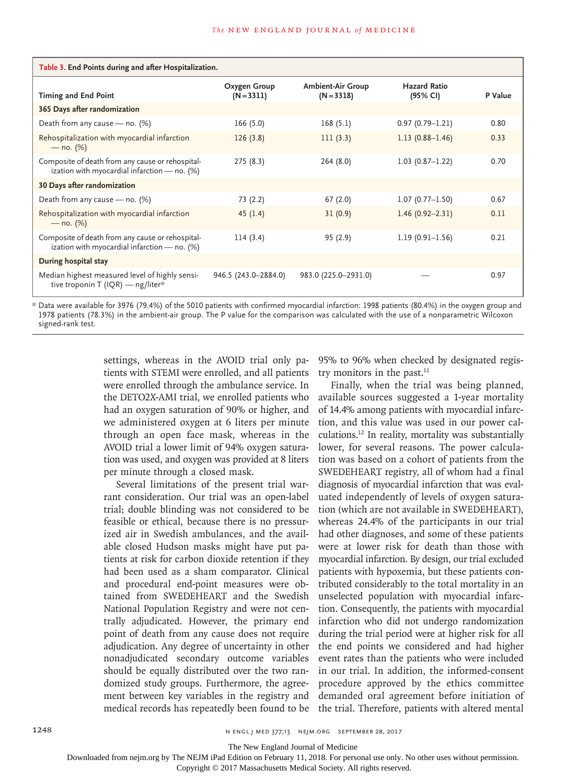| Table 3. End Points during and after Hospitalization.                                            |                              |                                          |                                 |         |  |
|--------------------------------------------------------------------------------------------------|------------------------------|------------------------------------------|---------------------------------|---------|--|
| <b>Timing and End Point</b>                                                                      | Oxygen Group<br>$(N = 3311)$ | <b>Ambient-Air Group</b><br>$(N = 3318)$ | <b>Hazard Ratio</b><br>(95% CI) | P Value |  |
| 365 Days after randomization                                                                     |                              |                                          |                                 |         |  |
| Death from any cause - no. (%)                                                                   | 166(5.0)                     | 168(5.1)                                 | $0.97(0.79 - 1.21)$             | 0.80    |  |
| Rehospitalization with myocardial infarction<br>$-$ no. (%)                                      | 126(3.8)                     | 111(3.3)                                 | $1.13(0.88 - 1.46)$             | 0.33    |  |
| Composite of death from any cause or rehospital-<br>ization with myocardial infarction - no. (%) | 275(8.3)                     | 264(8.0)                                 | $1.03(0.87 - 1.22)$             | 0.70    |  |
| 30 Days after randomization                                                                      |                              |                                          |                                 |         |  |
| Death from any cause - no. (%)                                                                   | 73 (2.2)                     | 67(2.0)                                  | $1.07(0.77 - 1.50)$             | 0.67    |  |
| Rehospitalization with myocardial infarction<br>$-$ no. (%)                                      | 45(1.4)                      | 31(0.9)                                  | $1.46(0.92 - 2.31)$             | 0.11    |  |
| Composite of death from any cause or rehospital-<br>ization with myocardial infarction - no. (%) | 114(3.4)                     | 95(2.9)                                  | $1.19(0.91 - 1.56)$             | 0.21    |  |
| During hospital stay                                                                             |                              |                                          |                                 |         |  |
| Median highest measured level of highly sensi-<br>tive troponin T (IQR) — ng/liter*              | 946.5 (243.0-2884.0)         | 983.0 (225.0-2931.0)                     |                                 | 0.97    |  |

\* Data were available for 3976 (79.4%) of the 5010 patients with confirmed myocardial infarction: 1998 patients (80.4%) in the oxygen group and 1978 patients (78.3%) in the ambient-air group. The P value for the comparison was calculated with the use of a nonparametric Wilcoxon signed-rank test.

> settings, whereas in the AVOID trial only patients with STEMI were enrolled, and all patients were enrolled through the ambulance service. In the DETO2X-AMI trial, we enrolled patients who had an oxygen saturation of 90% or higher, and we administered oxygen at 6 liters per minute through an open face mask, whereas in the AVOID trial a lower limit of 94% oxygen saturation was used, and oxygen was provided at 8 liters per minute through a closed mask.

> Several limitations of the present trial warrant consideration. Our trial was an open-label trial; double blinding was not considered to be feasible or ethical, because there is no pressurized air in Swedish ambulances, and the available closed Hudson masks might have put patients at risk for carbon dioxide retention if they had been used as a sham comparator. Clinical and procedural end-point measures were obtained from SWEDEHEART and the Swedish National Population Registry and were not centrally adjudicated. However, the primary end point of death from any cause does not require adjudication. Any degree of uncertainty in other nonadjudicated secondary outcome variables should be equally distributed over the two randomized study groups. Furthermore, the agreement between key variables in the registry and medical records has repeatedly been found to be

95% to 96% when checked by designated registry monitors in the past. $11$ 

Finally, when the trial was being planned, available sources suggested a 1-year mortality of 14.4% among patients with myocardial infarction, and this value was used in our power calculations.12 In reality, mortality was substantially lower, for several reasons. The power calculation was based on a cohort of patients from the SWEDEHEART registry, all of whom had a final diagnosis of myocardial infarction that was evaluated independently of levels of oxygen saturation (which are not available in SWEDEHEART), whereas 24.4% of the participants in our trial had other diagnoses, and some of these patients were at lower risk for death than those with myocardial infarction. By design, our trial excluded patients with hypoxemia, but these patients contributed considerably to the total mortality in an unselected population with myocardial infarction. Consequently, the patients with myocardial infarction who did not undergo randomization during the trial period were at higher risk for all the end points we considered and had higher event rates than the patients who were included in our trial. In addition, the informed-consent procedure approved by the ethics committee demanded oral agreement before initiation of the trial. Therefore, patients with altered mental

1248 **n** engl j med and the state in the state of the state in the state in the state in the state in the state in the state in the state in the state in the state in the state in the state in the state in the state in the

The New England Journal of Medicine

Downloaded from nejm.org by The NEJM iPad Edition on February 11, 2018. For personal use only. No other uses without permission.